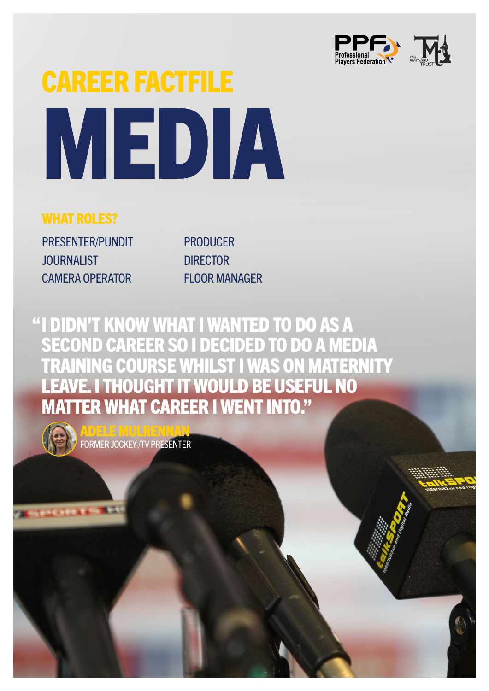

## CAREER FACTFILE MEDIA

## WHAT ROLES?

PRESENTER/PUNDIT **JOURNALIST** CAMERA OPERATOR

PRODUCER **DIRECTOR** FLOOR MANAGER

"I DIDN'T KNOW WHAT I WANTED TO DO AS A SECOND CAREER SO I DECIDED TO DO A MEDIA TRAINING COURSE WHILST I WAS ON MATERNITY<br>LEAVE. I THOUGHT IT WOULD BE USEFUL NO E. I THOUGHT IT WOU TER WHAT CAREER I WENT INTO."



**ACTECORD** 

ADELE MULRENNAN FORMER JOCKEY /TV PRESENTER